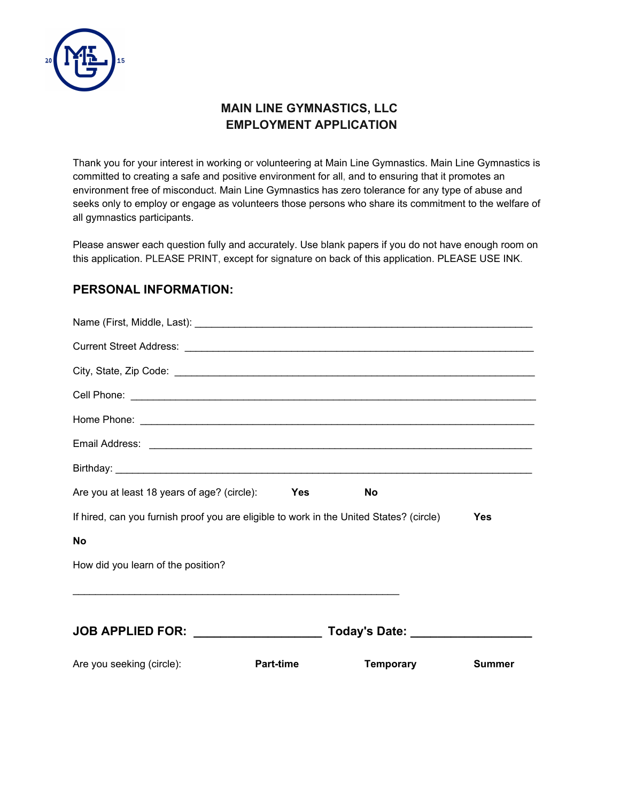

Thank you for your interest in working or volunteering at Main Line Gymnastics. Main Line Gymnastics is committed to creating a safe and positive environment for all, and to ensuring that it promotes an environment free of misconduct. Main Line Gymnastics has zero tolerance for any type of abuse and seeks only to employ or engage as volunteers those persons who share its commitment to the welfare of all gymnastics participants.

Please answer each question fully and accurately. Use blank papers if you do not have enough room on this application. PLEASE PRINT, except for signature on back of this application. PLEASE USE INK.

### **PERSONAL INFORMATION:**

| Are you at least 18 years of age? (circle): Yes                                                                       | <b>No</b>                        |               |
|-----------------------------------------------------------------------------------------------------------------------|----------------------------------|---------------|
| If hired, can you furnish proof you are eligible to work in the United States? (circle)                               |                                  | Yes           |
| <b>No</b>                                                                                                             |                                  |               |
| How did you learn of the position?                                                                                    |                                  |               |
| <u> 1989 - Johann Harry Harry Harry Harry Harry Harry Harry Harry Harry Harry Harry Harry Harry Harry Harry Harry</u> |                                  |               |
|                                                                                                                       |                                  |               |
| JOB APPLIED FOR: __________________                                                                                   | Today's Date: __________________ |               |
| Are you seeking (circle):<br><b>Part-time</b>                                                                         | Temporary                        | <b>Summer</b> |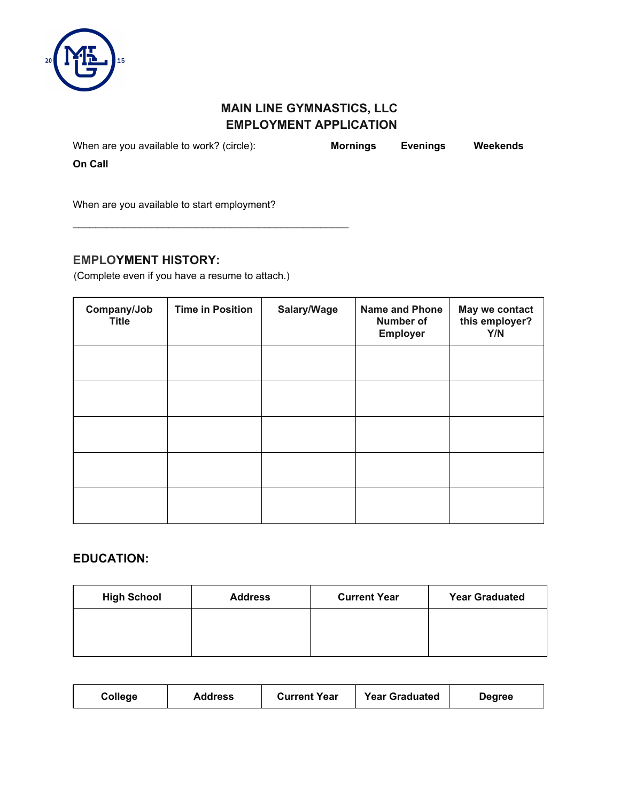

When are you available to work? (circle): **Mornings Evenings Weekends**

**On Call**

When are you available to start employment?

### **EMPLOYMENT HISTORY:**

(Complete even if you have a resume to attach.)

\_\_\_\_\_\_\_\_\_\_\_\_\_\_\_\_\_\_\_\_\_\_\_\_\_\_\_\_\_\_\_\_\_\_\_\_\_\_\_\_\_\_\_\_\_\_\_\_\_

| Company/Job<br><b>Title</b> | <b>Time in Position</b> | Salary/Wage | <b>Name and Phone</b><br><b>Number of</b><br>Employer | May we contact<br>this employer?<br>Y/N |
|-----------------------------|-------------------------|-------------|-------------------------------------------------------|-----------------------------------------|
|                             |                         |             |                                                       |                                         |
|                             |                         |             |                                                       |                                         |
|                             |                         |             |                                                       |                                         |
|                             |                         |             |                                                       |                                         |
|                             |                         |             |                                                       |                                         |

## **EDUCATION:**

| <b>High School</b> | <b>Address</b> | <b>Current Year</b> | <b>Year Graduated</b> |
|--------------------|----------------|---------------------|-----------------------|
|                    |                |                     |                       |
|                    |                |                     |                       |

| <b>Year Graduated</b><br><b>Current Year</b><br>College<br>Address<br>Degree |
|------------------------------------------------------------------------------|
|------------------------------------------------------------------------------|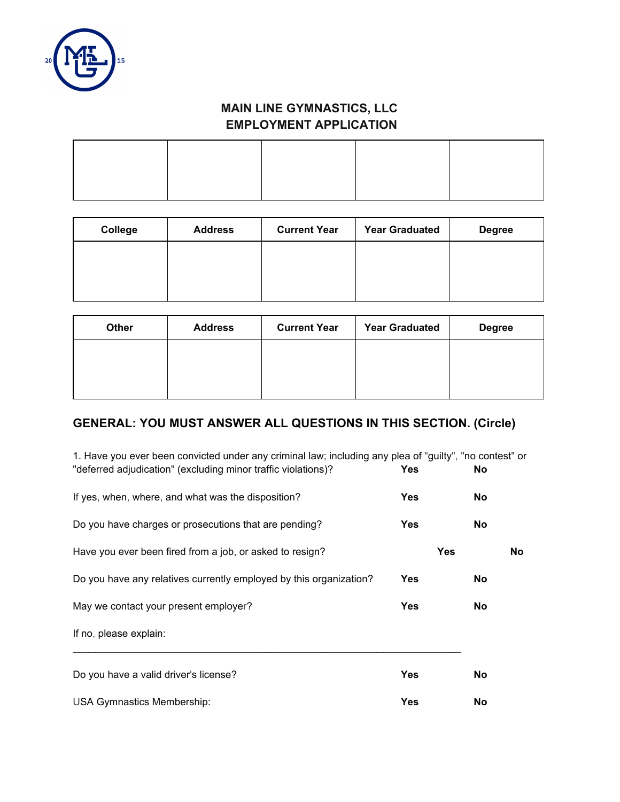

| College | <b>Address</b> | <b>Current Year</b> | <b>Year Graduated</b> | <b>Degree</b> |
|---------|----------------|---------------------|-----------------------|---------------|
|         |                |                     |                       |               |
|         |                |                     |                       |               |
|         |                |                     |                       |               |

| <b>Other</b> | <b>Address</b> | <b>Current Year</b> | <b>Year Graduated</b> | <b>Degree</b> |
|--------------|----------------|---------------------|-----------------------|---------------|
|              |                |                     |                       |               |
|              |                |                     |                       |               |
|              |                |                     |                       |               |

# **GENERAL: YOU MUST ANSWER ALL QUESTIONS IN THIS SECTION. (Circle)**

| 1. Have you ever been convicted under any criminal law; including any plea of "guilty", "no contest" or<br>"deferred adjudication" (excluding minor traffic violations)? | <b>Yes</b> | No.        |     |
|--------------------------------------------------------------------------------------------------------------------------------------------------------------------------|------------|------------|-----|
| If yes, when, where, and what was the disposition?                                                                                                                       | <b>Yes</b> | No         |     |
| Do you have charges or prosecutions that are pending?                                                                                                                    | <b>Yes</b> | No         |     |
| Have you ever been fired from a job, or asked to resign?                                                                                                                 |            | <b>Yes</b> | No. |
| Do you have any relatives currently employed by this organization?                                                                                                       | <b>Yes</b> | No         |     |
| May we contact your present employer?                                                                                                                                    | <b>Yes</b> | No         |     |
| If no, please explain:                                                                                                                                                   |            |            |     |
| Do you have a valid driver's license?                                                                                                                                    | <b>Yes</b> | No         |     |
| <b>USA Gymnastics Membership:</b>                                                                                                                                        | <b>Yes</b> | No         |     |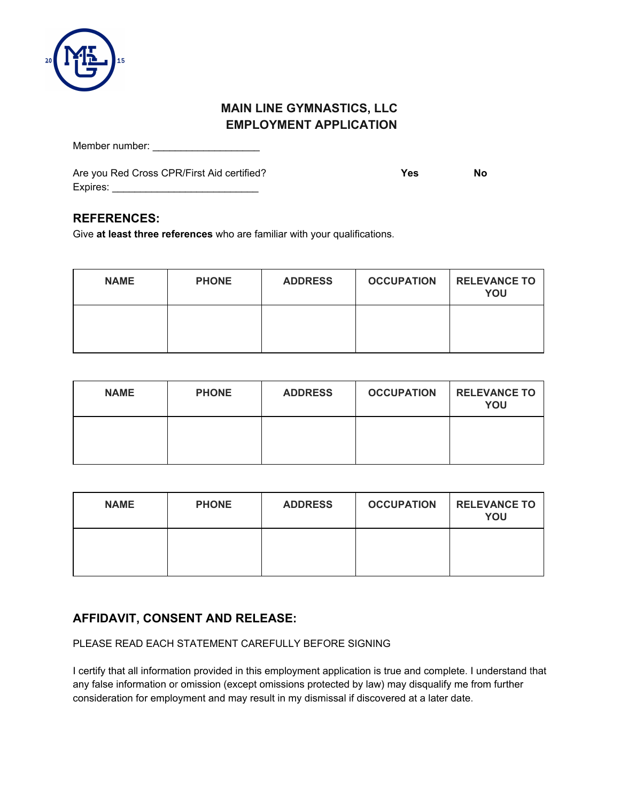

Member number: \_\_\_\_\_\_\_\_\_\_\_\_\_\_\_\_\_\_\_

Are you Red Cross CPR/First Aid certified? **Yes No** Expires: \_\_\_\_\_\_\_\_\_\_\_\_\_\_\_\_\_\_\_\_\_\_\_\_\_\_

### **REFERENCES:**

Give **at least three references** who are familiar with your qualifications.

| <b>NAME</b> | <b>PHONE</b> | <b>ADDRESS</b> | <b>OCCUPATION</b> | <b>RELEVANCE TO</b><br>YOU |
|-------------|--------------|----------------|-------------------|----------------------------|
|             |              |                |                   |                            |

| <b>NAME</b> | <b>PHONE</b> | <b>ADDRESS</b> | <b>OCCUPATION</b> | <b>RELEVANCE TO</b><br>YOU |
|-------------|--------------|----------------|-------------------|----------------------------|
|             |              |                |                   |                            |

| <b>NAME</b> | <b>PHONE</b> | <b>ADDRESS</b> | <b>OCCUPATION</b> | <b>RELEVANCE TO</b><br>YOU |
|-------------|--------------|----------------|-------------------|----------------------------|
|             |              |                |                   |                            |

## **AFFIDAVIT, CONSENT AND RELEASE:**

#### PLEASE READ EACH STATEMENT CAREFULLY BEFORE SIGNING

I certify that all information provided in this employment application is true and complete. I understand that any false information or omission (except omissions protected by law) may disqualify me from further consideration for employment and may result in my dismissal if discovered at a later date.